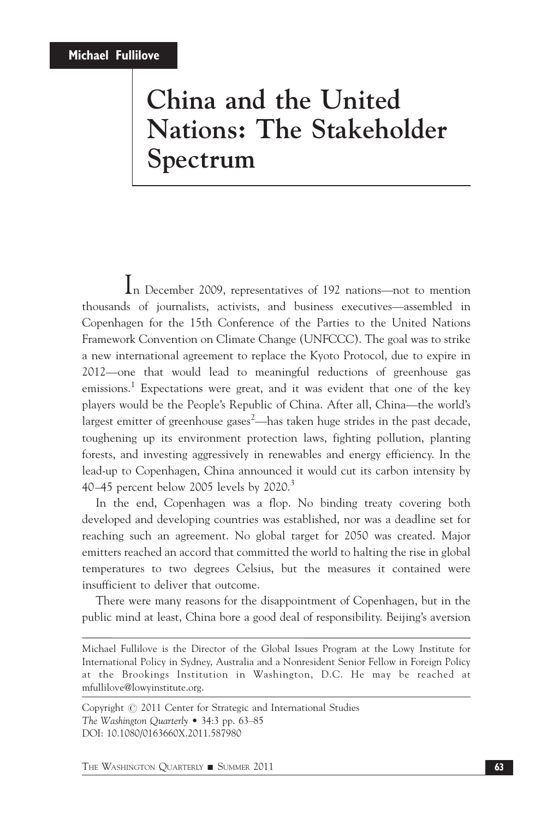# China and the United Nations: The Stakeholder Spectrum

 $\ln$  December 2009, representatives of 192 nations—not to mention thousands of journalists, activists, and business executives-assembled in Copenhagen for the 15th Conference of the Parties to the United Nations Framework Convention on Climate Change (UNFCCC). The goal was to strike a new international agreement to replace the Kyoto Protocol, due to expire in 2012-one that would lead to meaningful reductions of greenhouse gas emissions.<sup>1</sup> Expectations were great, and it was evident that one of the key players would be the People's Republic of China. After all, China—the world's largest emitter of greenhouse gases<sup>2</sup>—has taken huge strides in the past decade, toughening up its environment protection laws, fighting pollution, planting forests, and investing aggressively in renewables and energy efficiency. In the lead-up to Copenhagen, China announced it would cut its carbon intensity by 40—45 percent below 2005 levels by 2020.3

In the end, Copenhagen was a flop. No binding treaty covering both developed and developing countries was established, nor was a deadline set for reaching such an agreement. No global target for 2050 was created. Major emitters reached an accord that committed the world to halting the rise in global temperatures to two degrees Celsius, but the measures it contained were insufficient to deliver that outcome.

There were many reasons for the disappointment of Copenhagen, but in the public mind at least, China bore a good deal of responsibility. Beijing's aversion

Michael Fullilove is the Director of the Global Issues Program at the Lowy Institute for International Policy in Sydney, Australia and a Nonresident Senior Fellow in Foreign Policy at the Brookings Institution in Washington, D.C. He may be reached at mfullilove@lowyinstitute.org.

Copyright © 2011 Center for Strategic and International Studies The Washington Quarterly • 34:3 pp.  $63-85$ DOI: 10.1080/0163660X.2011.587980

THE WASHINGTON QUARTERLY **ii** SUMMER 2011 63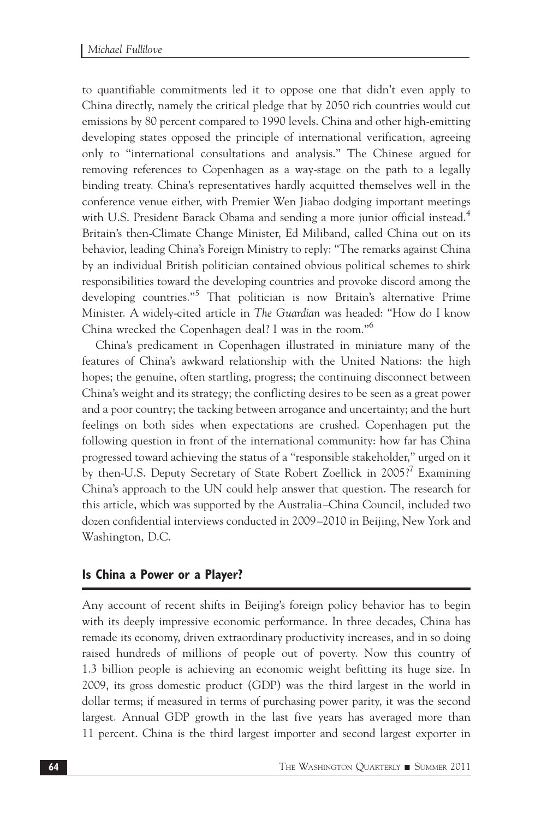to quantifiable commitments led it to oppose one that didn't even apply to China directly, namely the critical pledge that by 2050 rich countries would cut emissions by 80 percent compared to 1990 levels. China and other high-emitting developing states opposed the principle of international verification, agreeing only to ''international consultations and analysis.'' The Chinese argued for removing references to Copenhagen as a way-stage on the path to a legally binding treaty. China's representatives hardly acquitted themselves well in the conference venue either, with Premier Wen Jiabao dodging important meetings with U.S. President Barack Obama and sending a more junior official instead.<sup>4</sup> Britain's then-Climate Change Minister, Ed Miliband, called China out on its behavior, leading China's Foreign Ministry to reply: ''The remarks against China by an individual British politician contained obvious political schemes to shirk responsibilities toward the developing countries and provoke discord among the developing countries."<sup>5</sup> That politician is now Britain's alternative Prime Minister. A widely-cited article in The Guardian was headed: ''How do I know China wrecked the Copenhagen deal? I was in the room.''6

China's predicament in Copenhagen illustrated in miniature many of the features of China's awkward relationship with the United Nations: the high hopes; the genuine, often startling, progress; the continuing disconnect between China's weight and its strategy; the conflicting desires to be seen as a great power and a poor country; the tacking between arrogance and uncertainty; and the hurt feelings on both sides when expectations are crushed. Copenhagen put the following question in front of the international community: how far has China progressed toward achieving the status of a ''responsible stakeholder,'' urged on it by then-U.S. Deputy Secretary of State Robert Zoellick in  $2005$ ? Examining China's approach to the UN could help answer that question. The research for this article, which was supported by the Australia—China Council, included two dozen confidential interviews conducted in 2009—2010 in Beijing, New York and Washington, D.C.

# Is China a Power or a Player?

Any account of recent shifts in Beijing's foreign policy behavior has to begin with its deeply impressive economic performance. In three decades, China has remade its economy, driven extraordinary productivity increases, and in so doing raised hundreds of millions of people out of poverty. Now this country of 1.3 billion people is achieving an economic weight befitting its huge size. In 2009, its gross domestic product (GDP) was the third largest in the world in dollar terms; if measured in terms of purchasing power parity, it was the second largest. Annual GDP growth in the last five years has averaged more than 11 percent. China is the third largest importer and second largest exporter in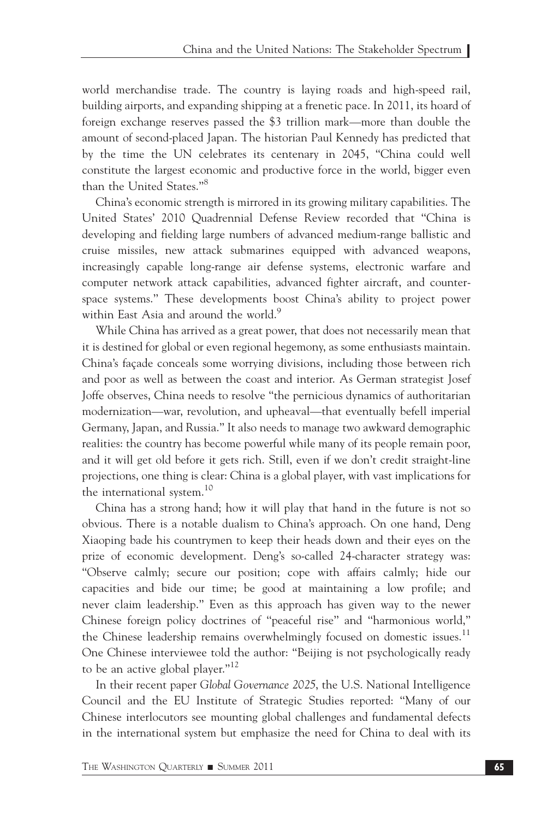world merchandise trade. The country is laying roads and high-speed rail, building airports, and expanding shipping at a frenetic pace. In 2011, its hoard of foreign exchange reserves passed the  $$3$  trillion mark—more than double the amount of second-placed Japan. The historian Paul Kennedy has predicted that by the time the UN celebrates its centenary in 2045, ''China could well constitute the largest economic and productive force in the world, bigger even than the United States.''<sup>8</sup>

China's economic strength is mirrored in its growing military capabilities. The United States' 2010 Quadrennial Defense Review recorded that ''China is developing and fielding large numbers of advanced medium-range ballistic and cruise missiles, new attack submarines equipped with advanced weapons, increasingly capable long-range air defense systems, electronic warfare and computer network attack capabilities, advanced fighter aircraft, and counterspace systems.'' These developments boost China's ability to project power within East Asia and around the world.<sup>9</sup>

While China has arrived as a great power, that does not necessarily mean that it is destined for global or even regional hegemony, as some enthusiasts maintain. China's façade conceals some worrying divisions, including those between rich and poor as well as between the coast and interior. As German strategist Josef Joffe observes, China needs to resolve ''the pernicious dynamics of authoritarian modernization—war, revolution, and upheaval—that eventually befell imperial Germany, Japan, and Russia.'' It also needs to manage two awkward demographic realities: the country has become powerful while many of its people remain poor, and it will get old before it gets rich. Still, even if we don't credit straight-line projections, one thing is clear: China is a global player, with vast implications for the international system.10

China has a strong hand; how it will play that hand in the future is not so obvious. There is a notable dualism to China's approach. On one hand, Deng Xiaoping bade his countrymen to keep their heads down and their eyes on the prize of economic development. Deng's so-called 24-character strategy was: ''Observe calmly; secure our position; cope with affairs calmly; hide our capacities and bide our time; be good at maintaining a low profile; and never claim leadership.'' Even as this approach has given way to the newer Chinese foreign policy doctrines of ''peaceful rise'' and ''harmonious world,'' the Chinese leadership remains overwhelmingly focused on domestic issues.<sup>11</sup> One Chinese interviewee told the author: ''Beijing is not psychologically ready to be an active global player."<sup>12</sup>

In their recent paper Global Governance 2025, the U.S. National Intelligence Council and the EU Institute of Strategic Studies reported: ''Many of our Chinese interlocutors see mounting global challenges and fundamental defects in the international system but emphasize the need for China to deal with its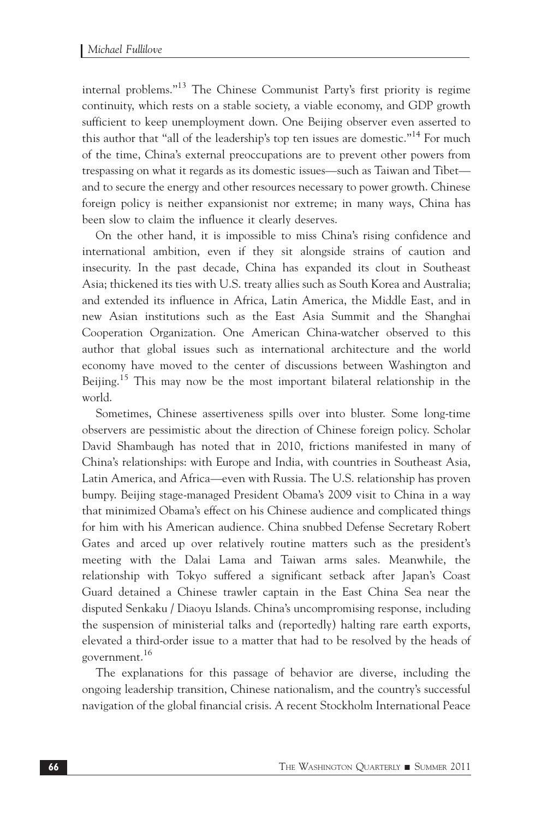internal problems."<sup>13</sup> The Chinese Communist Party's first priority is regime continuity, which rests on a stable society, a viable economy, and GDP growth sufficient to keep unemployment down. One Beijing observer even asserted to this author that "all of the leadership's top ten issues are domestic."<sup>14</sup> For much of the time, China's external preoccupations are to prevent other powers from trespassing on what it regards as its domestic issues—such as Taiwan and Tibet and to secure the energy and other resources necessary to power growth. Chinese foreign policy is neither expansionist nor extreme; in many ways, China has been slow to claim the influence it clearly deserves.

On the other hand, it is impossible to miss China's rising confidence and international ambition, even if they sit alongside strains of caution and insecurity. In the past decade, China has expanded its clout in Southeast Asia; thickened its ties with U.S. treaty allies such as South Korea and Australia; and extended its influence in Africa, Latin America, the Middle East, and in new Asian institutions such as the East Asia Summit and the Shanghai Cooperation Organization. One American China-watcher observed to this author that global issues such as international architecture and the world economy have moved to the center of discussions between Washington and Beijing.<sup>15</sup> This may now be the most important bilateral relationship in the world.

Sometimes, Chinese assertiveness spills over into bluster. Some long-time observers are pessimistic about the direction of Chinese foreign policy. Scholar David Shambaugh has noted that in 2010, frictions manifested in many of China's relationships: with Europe and India, with countries in Southeast Asia, Latin America, and Africa—even with Russia. The U.S. relationship has proven bumpy. Beijing stage-managed President Obama's 2009 visit to China in a way that minimized Obama's effect on his Chinese audience and complicated things for him with his American audience. China snubbed Defense Secretary Robert Gates and arced up over relatively routine matters such as the president's meeting with the Dalai Lama and Taiwan arms sales. Meanwhile, the relationship with Tokyo suffered a significant setback after Japan's Coast Guard detained a Chinese trawler captain in the East China Sea near the disputed Senkaku / Diaoyu Islands. China's uncompromising response, including the suspension of ministerial talks and (reportedly) halting rare earth exports, elevated a third-order issue to a matter that had to be resolved by the heads of government.<sup>16</sup>

The explanations for this passage of behavior are diverse, including the ongoing leadership transition, Chinese nationalism, and the country's successful navigation of the global financial crisis. A recent Stockholm International Peace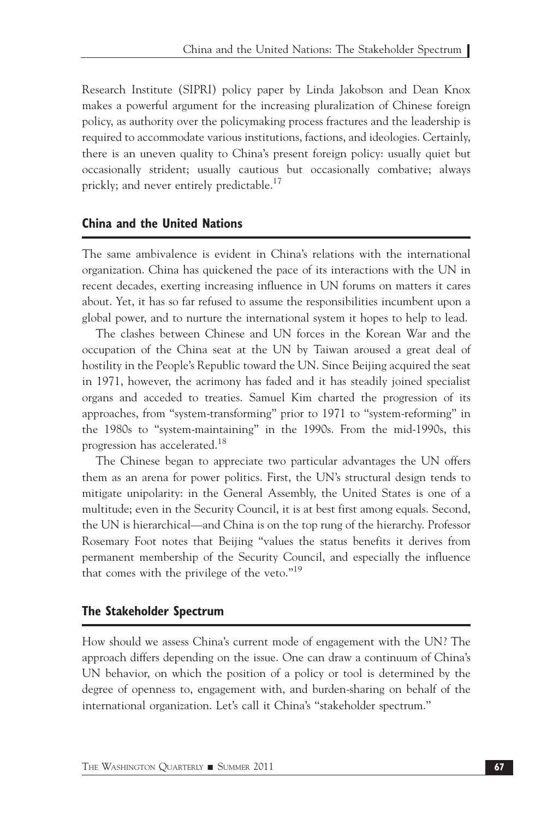Research Institute (SIPRI) policy paper by Linda Jakobson and Dean Knox makes a powerful argument for the increasing pluralization of Chinese foreign policy, as authority over the policymaking process fractures and the leadership is required to accommodate various institutions, factions, and ideologies. Certainly, there is an uneven quality to China's present foreign policy: usually quiet but occasionally strident; usually cautious but occasionally combative; always prickly; and never entirely predictable.<sup>17</sup>

## China and the United Nations

The same ambivalence is evident in China's relations with the international organization. China has quickened the pace of its interactions with the UN in recent decades, exerting increasing influence in UN forums on matters it cares about. Yet, it has so far refused to assume the responsibilities incumbent upon a global power, and to nurture the international system it hopes to help to lead.

The clashes between Chinese and UN forces in the Korean War and the occupation of the China seat at the UN by Taiwan aroused a great deal of hostility in the People's Republic toward the UN. Since Beijing acquired the seat in 1971, however, the acrimony has faded and it has steadily joined specialist organs and acceded to treaties. Samuel Kim charted the progression of its approaches, from ''system-transforming'' prior to 1971 to ''system-reforming'' in the 1980s to ''system-maintaining'' in the 1990s. From the mid-1990s, this progression has accelerated.<sup>18</sup>

The Chinese began to appreciate two particular advantages the UN offers them as an arena for power politics. First, the UN's structural design tends to mitigate unipolarity: in the General Assembly, the United States is one of a multitude; even in the Security Council, it is at best first among equals. Second, the UN is hierarchical—and China is on the top rung of the hierarchy. Professor Rosemary Foot notes that Beijing ''values the status benefits it derives from permanent membership of the Security Council, and especially the influence that comes with the privilege of the veto." $19$ 

## The Stakeholder Spectrum

How should we assess China's current mode of engagement with the UN? The approach differs depending on the issue. One can draw a continuum of China's UN behavior, on which the position of a policy or tool is determined by the degree of openness to, engagement with, and burden-sharing on behalf of the international organization. Let's call it China's ''stakeholder spectrum.''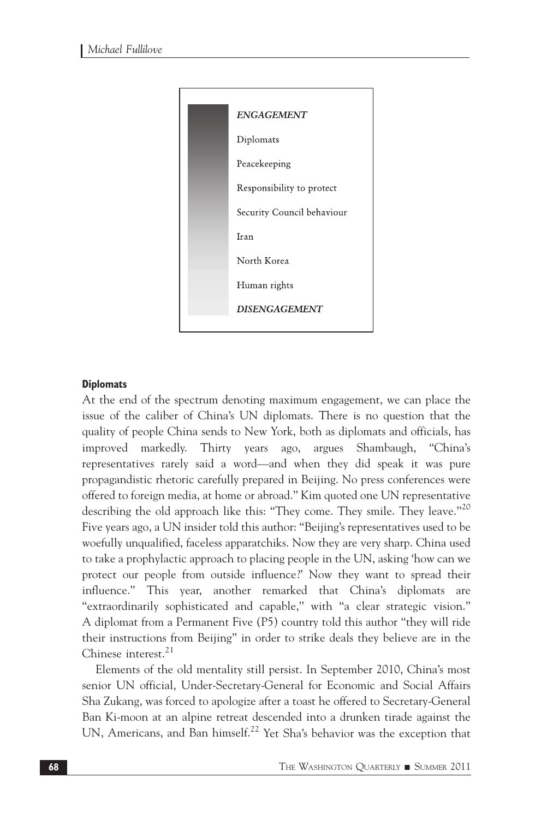

## **Diplomats**

At the end of the spectrum denoting maximum engagement, we can place the issue of the caliber of China's UN diplomats. There is no question that the quality of people China sends to New York, both as diplomats and officials, has improved markedly. Thirty years ago, argues Shambaugh, ''China's representatives rarely said a word—and when they did speak it was pure propagandistic rhetoric carefully prepared in Beijing. No press conferences were offered to foreign media, at home or abroad.'' Kim quoted one UN representative describing the old approach like this: "They come. They smile. They leave."<sup>20</sup> Five years ago, a UN insider told this author: ''Beijing's representatives used to be woefully unqualified, faceless apparatchiks. Now they are very sharp. China used to take a prophylactic approach to placing people in the UN, asking 'how can we protect our people from outside influence?' Now they want to spread their influence.'' This year, another remarked that China's diplomats are "extraordinarily sophisticated and capable," with "a clear strategic vision." A diplomat from a Permanent Five (P5) country told this author ''they will ride their instructions from Beijing'' in order to strike deals they believe are in the Chinese interest.<sup>21</sup>

Elements of the old mentality still persist. In September 2010, China's most senior UN official, Under-Secretary-General for Economic and Social Affairs Sha Zukang, was forced to apologize after a toast he offered to Secretary-General Ban Ki-moon at an alpine retreat descended into a drunken tirade against the UN, Americans, and Ban himself.<sup>22</sup> Yet Sha's behavior was the exception that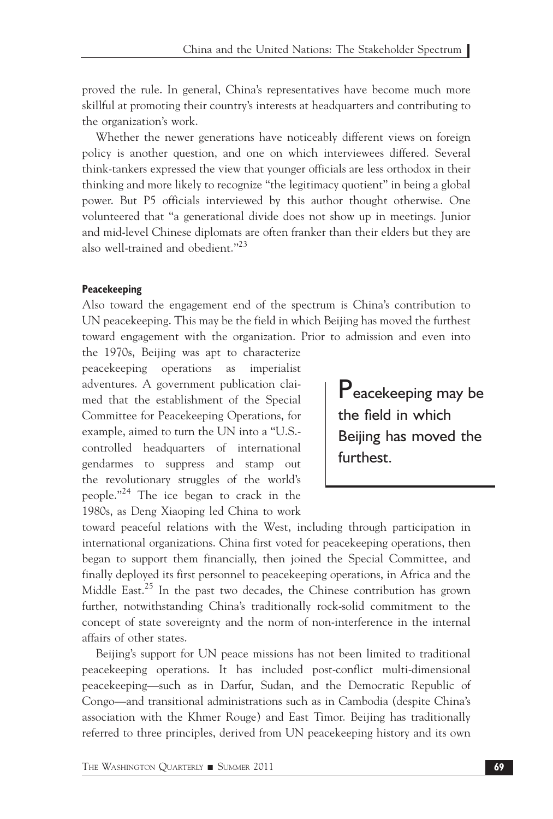proved the rule. In general, China's representatives have become much more skillful at promoting their country's interests at headquarters and contributing to the organization's work.

Whether the newer generations have noticeably different views on foreign policy is another question, and one on which interviewees differed. Several think-tankers expressed the view that younger officials are less orthodox in their thinking and more likely to recognize ''the legitimacy quotient'' in being a global power. But P5 officials interviewed by this author thought otherwise. One volunteered that ''a generational divide does not show up in meetings. Junior and mid-level Chinese diplomats are often franker than their elders but they are also well-trained and obedient."<sup>23</sup>

## Peacekeeping

Also toward the engagement end of the spectrum is China's contribution to UN peacekeeping. This may be the field in which Beijing has moved the furthest toward engagement with the organization. Prior to admission and even into

the 1970s, Beijing was apt to characterize peacekeeping operations as imperialist adventures. A government publication claimed that the establishment of the Special Committee for Peacekeeping Operations, for example, aimed to turn the UN into a ''U.S. controlled headquarters of international gendarmes to suppress and stamp out the revolutionary struggles of the world's people."<sup>24</sup> The ice began to crack in the 1980s, as Deng Xiaoping led China to work

Peacekeeping may be the field in which Beijing has moved the furthest.

toward peaceful relations with the West, including through participation in international organizations. China first voted for peacekeeping operations, then began to support them financially, then joined the Special Committee, and finally deployed its first personnel to peacekeeping operations, in Africa and the Middle East.<sup>25</sup> In the past two decades, the Chinese contribution has grown further, notwithstanding China's traditionally rock-solid commitment to the concept of state sovereignty and the norm of non-interference in the internal affairs of other states.

Beijing's support for UN peace missions has not been limited to traditional peacekeeping operations. It has included post-conflict multi-dimensional peacekeeping—such as in Darfur, Sudan, and the Democratic Republic of Congo—and transitional administrations such as in Cambodia (despite China's association with the Khmer Rouge) and East Timor. Beijing has traditionally referred to three principles, derived from UN peacekeeping history and its own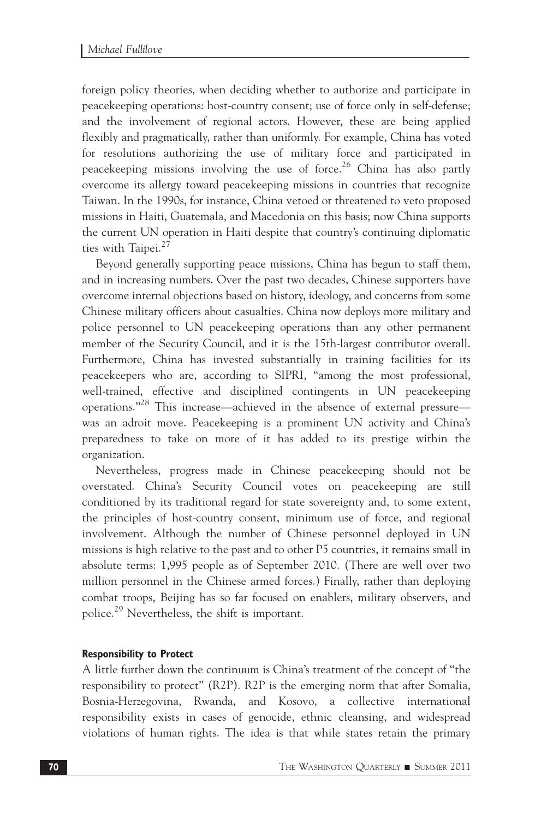foreign policy theories, when deciding whether to authorize and participate in peacekeeping operations: host-country consent; use of force only in self-defense; and the involvement of regional actors. However, these are being applied flexibly and pragmatically, rather than uniformly. For example, China has voted for resolutions authorizing the use of military force and participated in peacekeeping missions involving the use of force.<sup>26</sup> China has also partly overcome its allergy toward peacekeeping missions in countries that recognize Taiwan. In the 1990s, for instance, China vetoed or threatened to veto proposed missions in Haiti, Guatemala, and Macedonia on this basis; now China supports the current UN operation in Haiti despite that country's continuing diplomatic ties with Taipei.<sup>27</sup>

Beyond generally supporting peace missions, China has begun to staff them, and in increasing numbers. Over the past two decades, Chinese supporters have overcome internal objections based on history, ideology, and concerns from some Chinese military officers about casualties. China now deploys more military and police personnel to UN peacekeeping operations than any other permanent member of the Security Council, and it is the 15th-largest contributor overall. Furthermore, China has invested substantially in training facilities for its peacekeepers who are, according to SIPRI, ''among the most professional, well-trained, effective and disciplined contingents in UN peacekeeping operations."<sup>28</sup> This increase—achieved in the absence of external pressure was an adroit move. Peacekeeping is a prominent UN activity and China's preparedness to take on more of it has added to its prestige within the organization.

Nevertheless, progress made in Chinese peacekeeping should not be overstated. China's Security Council votes on peacekeeping are still conditioned by its traditional regard for state sovereignty and, to some extent, the principles of host-country consent, minimum use of force, and regional involvement. Although the number of Chinese personnel deployed in UN missions is high relative to the past and to other P5 countries, it remains small in absolute terms: 1,995 people as of September 2010. (There are well over two million personnel in the Chinese armed forces.) Finally, rather than deploying combat troops, Beijing has so far focused on enablers, military observers, and police.29 Nevertheless, the shift is important.

#### Responsibility to Protect

A little further down the continuum is China's treatment of the concept of ''the responsibility to protect'' (R2P). R2P is the emerging norm that after Somalia, Bosnia-Herzegovina, Rwanda, and Kosovo, a collective international responsibility exists in cases of genocide, ethnic cleansing, and widespread violations of human rights. The idea is that while states retain the primary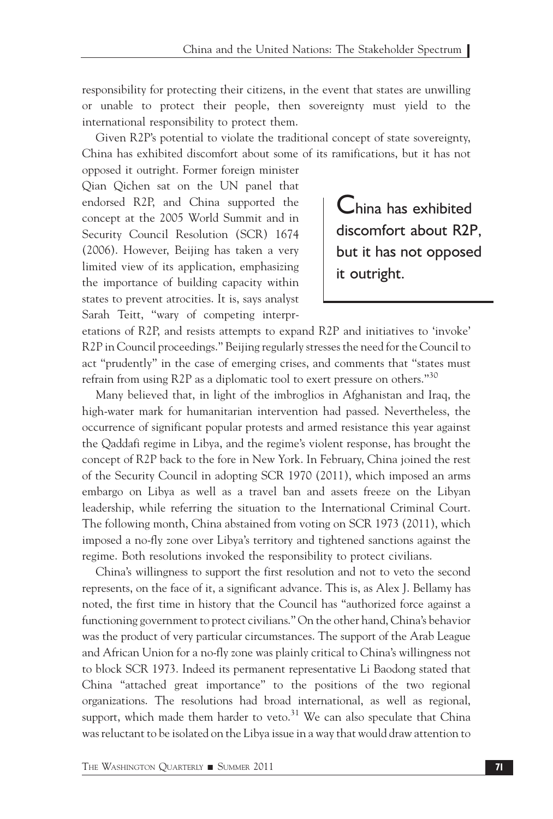responsibility for protecting their citizens, in the event that states are unwilling or unable to protect their people, then sovereignty must yield to the international responsibility to protect them.

Given R2P's potential to violate the traditional concept of state sovereignty, China has exhibited discomfort about some of its ramifications, but it has not

opposed it outright. Former foreign minister Qian Qichen sat on the UN panel that endorsed R2P, and China supported the concept at the 2005 World Summit and in Security Council Resolution (SCR) 1674 (2006). However, Beijing has taken a very limited view of its application, emphasizing the importance of building capacity within states to prevent atrocities. It is, says analyst Sarah Teitt, ''wary of competing interpr-

China has exhibited discomfort about R2P, but it has not opposed it outright.

etations of R2P, and resists attempts to expand R2P and initiatives to 'invoke' R2P in Council proceedings.'' Beijing regularly stresses the need for the Council to act ''prudently'' in the case of emerging crises, and comments that ''states must refrain from using R2P as a diplomatic tool to exert pressure on others."<sup>30</sup>

Many believed that, in light of the imbroglios in Afghanistan and Iraq, the high-water mark for humanitarian intervention had passed. Nevertheless, the occurrence of significant popular protests and armed resistance this year against the Qaddafi regime in Libya, and the regime's violent response, has brought the concept of R2P back to the fore in New York. In February, China joined the rest of the Security Council in adopting SCR 1970 (2011), which imposed an arms embargo on Libya as well as a travel ban and assets freeze on the Libyan leadership, while referring the situation to the International Criminal Court. The following month, China abstained from voting on SCR 1973 (2011), which imposed a no-fly zone over Libya's territory and tightened sanctions against the regime. Both resolutions invoked the responsibility to protect civilians.

China's willingness to support the first resolution and not to veto the second represents, on the face of it, a significant advance. This is, as Alex J. Bellamy has noted, the first time in history that the Council has ''authorized force against a functioning government to protect civilians.'' On the other hand, China's behavior was the product of very particular circumstances. The support of the Arab League and African Union for a no-fly zone was plainly critical to China's willingness not to block SCR 1973. Indeed its permanent representative Li Baodong stated that China ''attached great importance'' to the positions of the two regional organizations. The resolutions had broad international, as well as regional, support, which made them harder to veto. $31$  We can also speculate that China was reluctant to be isolated on the Libya issue in a way that would draw attention to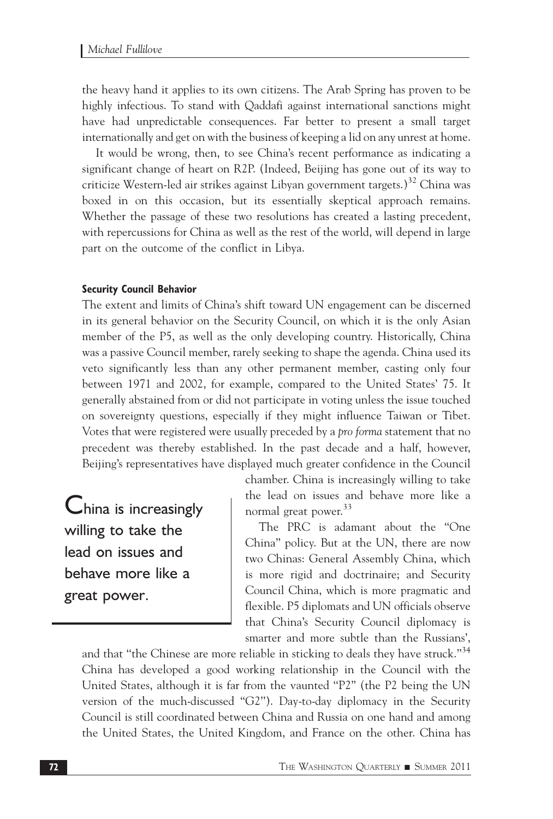the heavy hand it applies to its own citizens. The Arab Spring has proven to be highly infectious. To stand with Qaddafi against international sanctions might have had unpredictable consequences. Far better to present a small target internationally and get on with the business of keeping a lid on any unrest at home.

It would be wrong, then, to see China's recent performance as indicating a significant change of heart on R2P. (Indeed, Beijing has gone out of its way to criticize Western-led air strikes against Libyan government targets.)<sup>32</sup> China was boxed in on this occasion, but its essentially skeptical approach remains. Whether the passage of these two resolutions has created a lasting precedent, with repercussions for China as well as the rest of the world, will depend in large part on the outcome of the conflict in Libya.

#### Security Council Behavior

The extent and limits of China's shift toward UN engagement can be discerned in its general behavior on the Security Council, on which it is the only Asian member of the P5, as well as the only developing country. Historically, China was a passive Council member, rarely seeking to shape the agenda. China used its veto significantly less than any other permanent member, casting only four between 1971 and 2002, for example, compared to the United States' 75. It generally abstained from or did not participate in voting unless the issue touched on sovereignty questions, especially if they might influence Taiwan or Tibet. Votes that were registered were usually preceded by a pro forma statement that no precedent was thereby established. In the past decade and a half, however, Beijing's representatives have displayed much greater confidence in the Council

China is increasingly willing to take the lead on issues and behave more like a great power.

chamber. China is increasingly willing to take the lead on issues and behave more like a normal great power.<sup>33</sup>

The PRC is adamant about the ''One China'' policy. But at the UN, there are now two Chinas: General Assembly China, which is more rigid and doctrinaire; and Security Council China, which is more pragmatic and flexible. P5 diplomats and UN officials observe that China's Security Council diplomacy is smarter and more subtle than the Russians',

and that "the Chinese are more reliable in sticking to deals they have struck."<sup>34</sup> China has developed a good working relationship in the Council with the United States, although it is far from the vaunted ''P2'' (the P2 being the UN version of the much-discussed ''G2''). Day-to-day diplomacy in the Security Council is still coordinated between China and Russia on one hand and among the United States, the United Kingdom, and France on the other. China has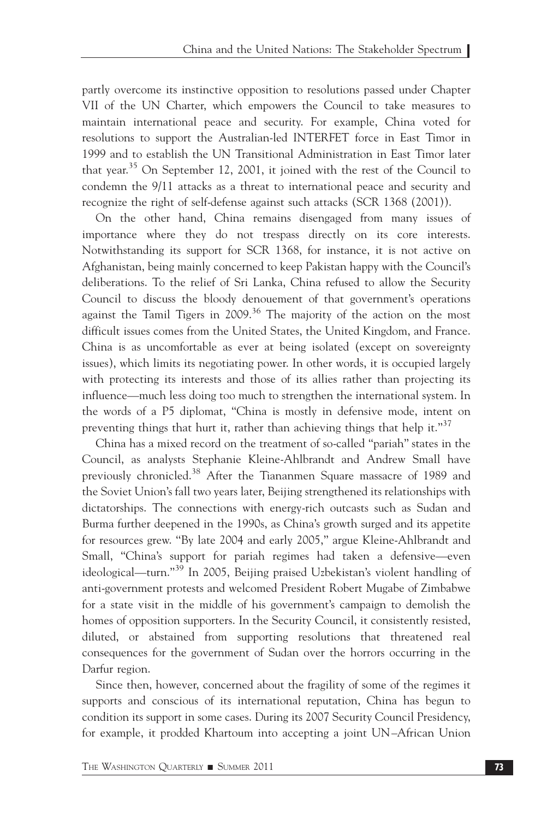partly overcome its instinctive opposition to resolutions passed under Chapter VII of the UN Charter, which empowers the Council to take measures to maintain international peace and security. For example, China voted for resolutions to support the Australian-led INTERFET force in East Timor in 1999 and to establish the UN Transitional Administration in East Timor later that year.<sup>35</sup> On September 12, 2001, it joined with the rest of the Council to condemn the 9/11 attacks as a threat to international peace and security and recognize the right of self-defense against such attacks (SCR 1368 (2001)).

On the other hand, China remains disengaged from many issues of importance where they do not trespass directly on its core interests. Notwithstanding its support for SCR 1368, for instance, it is not active on Afghanistan, being mainly concerned to keep Pakistan happy with the Council's deliberations. To the relief of Sri Lanka, China refused to allow the Security Council to discuss the bloody denouement of that government's operations against the Tamil Tigers in 2009.<sup>36</sup> The majority of the action on the most difficult issues comes from the United States, the United Kingdom, and France. China is as uncomfortable as ever at being isolated (except on sovereignty issues), which limits its negotiating power. In other words, it is occupied largely with protecting its interests and those of its allies rather than projecting its influence—much less doing too much to strengthen the international system. In the words of a P5 diplomat, ''China is mostly in defensive mode, intent on preventing things that hurt it, rather than achieving things that help it."<sup>37</sup>

China has a mixed record on the treatment of so-called ''pariah'' states in the Council, as analysts Stephanie Kleine-Ahlbrandt and Andrew Small have previously chronicled.<sup>38</sup> After the Tiananmen Square massacre of 1989 and the Soviet Union's fall two years later, Beijing strengthened its relationships with dictatorships. The connections with energy-rich outcasts such as Sudan and Burma further deepened in the 1990s, as China's growth surged and its appetite for resources grew. ''By late 2004 and early 2005,'' argue Kleine-Ahlbrandt and Small, "China's support for pariah regimes had taken a defensive-even ideological—turn."<sup>39</sup> In 2005, Beijing praised Uzbekistan's violent handling of anti-government protests and welcomed President Robert Mugabe of Zimbabwe for a state visit in the middle of his government's campaign to demolish the homes of opposition supporters. In the Security Council, it consistently resisted, diluted, or abstained from supporting resolutions that threatened real consequences for the government of Sudan over the horrors occurring in the Darfur region.

Since then, however, concerned about the fragility of some of the regimes it supports and conscious of its international reputation, China has begun to condition its support in some cases. During its 2007 Security Council Presidency, for example, it prodded Khartoum into accepting a joint UN—African Union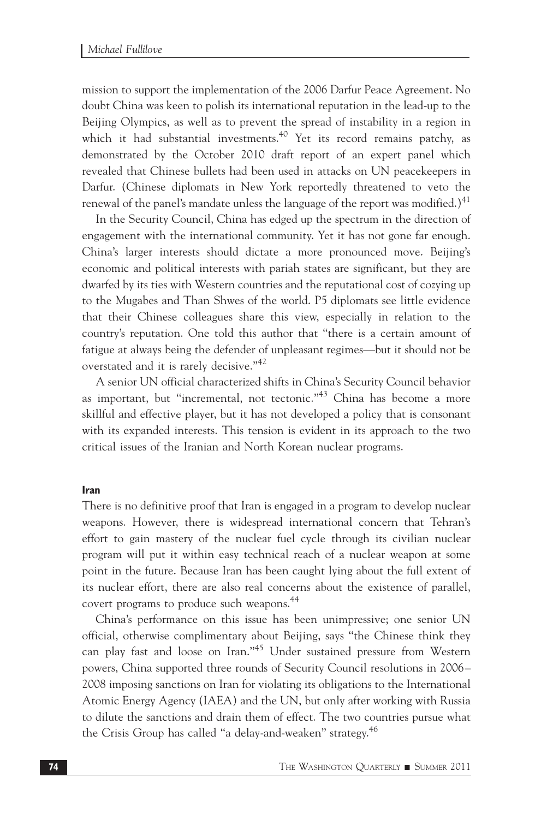mission to support the implementation of the 2006 Darfur Peace Agreement. No doubt China was keen to polish its international reputation in the lead-up to the Beijing Olympics, as well as to prevent the spread of instability in a region in which it had substantial investments.<sup>40</sup> Yet its record remains patchy, as demonstrated by the October 2010 draft report of an expert panel which revealed that Chinese bullets had been used in attacks on UN peacekeepers in Darfur. (Chinese diplomats in New York reportedly threatened to veto the renewal of the panel's mandate unless the language of the report was modified.)<sup>41</sup>

In the Security Council, China has edged up the spectrum in the direction of engagement with the international community. Yet it has not gone far enough. China's larger interests should dictate a more pronounced move. Beijing's economic and political interests with pariah states are significant, but they are dwarfed by its ties with Western countries and the reputational cost of cozying up to the Mugabes and Than Shwes of the world. P5 diplomats see little evidence that their Chinese colleagues share this view, especially in relation to the country's reputation. One told this author that ''there is a certain amount of fatigue at always being the defender of unpleasant regimes—but it should not be overstated and it is rarely decisive."<sup>42</sup>

A senior UN official characterized shifts in China's Security Council behavior as important, but "incremental, not tectonic."<sup>43</sup> China has become a more skillful and effective player, but it has not developed a policy that is consonant with its expanded interests. This tension is evident in its approach to the two critical issues of the Iranian and North Korean nuclear programs.

#### Iran

There is no definitive proof that Iran is engaged in a program to develop nuclear weapons. However, there is widespread international concern that Tehran's effort to gain mastery of the nuclear fuel cycle through its civilian nuclear program will put it within easy technical reach of a nuclear weapon at some point in the future. Because Iran has been caught lying about the full extent of its nuclear effort, there are also real concerns about the existence of parallel, covert programs to produce such weapons.<sup>44</sup>

China's performance on this issue has been unimpressive; one senior UN official, otherwise complimentary about Beijing, says ''the Chinese think they can play fast and loose on Iran."<sup>45</sup> Under sustained pressure from Western powers, China supported three rounds of Security Council resolutions in 2006— 2008 imposing sanctions on Iran for violating its obligations to the International Atomic Energy Agency (IAEA) and the UN, but only after working with Russia to dilute the sanctions and drain them of effect. The two countries pursue what the Crisis Group has called "a delay-and-weaken" strategy.<sup>46</sup>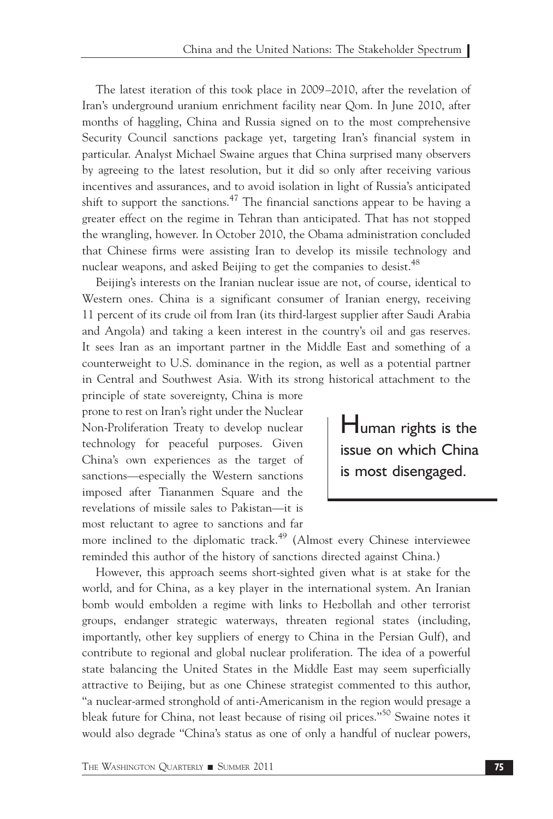The latest iteration of this took place in 2009—2010, after the revelation of Iran's underground uranium enrichment facility near Qom. In June 2010, after months of haggling, China and Russia signed on to the most comprehensive Security Council sanctions package yet, targeting Iran's financial system in particular. Analyst Michael Swaine argues that China surprised many observers by agreeing to the latest resolution, but it did so only after receiving various incentives and assurances, and to avoid isolation in light of Russia's anticipated shift to support the sanctions.<sup>47</sup> The financial sanctions appear to be having a greater effect on the regime in Tehran than anticipated. That has not stopped the wrangling, however. In October 2010, the Obama administration concluded that Chinese firms were assisting Iran to develop its missile technology and nuclear weapons, and asked Beijing to get the companies to desist.<sup>48</sup>

Beijing's interests on the Iranian nuclear issue are not, of course, identical to Western ones. China is a significant consumer of Iranian energy, receiving 11 percent of its crude oil from Iran (its third-largest supplier after Saudi Arabia and Angola) and taking a keen interest in the country's oil and gas reserves. It sees Iran as an important partner in the Middle East and something of a counterweight to U.S. dominance in the region, as well as a potential partner in Central and Southwest Asia. With its strong historical attachment to the

principle of state sovereignty, China is more prone to rest on Iran's right under the Nuclear Non-Proliferation Treaty to develop nuclear technology for peaceful purposes. Given China's own experiences as the target of sanctions-especially the Western sanctions imposed after Tiananmen Square and the revelations of missile sales to Pakistan—it is most reluctant to agree to sanctions and far

 $H$ uman rights is the issue on which China is most disengaged.

more inclined to the diplomatic track.<sup>49</sup> (Almost every Chinese interviewee reminded this author of the history of sanctions directed against China.)

However, this approach seems short-sighted given what is at stake for the world, and for China, as a key player in the international system. An Iranian bomb would embolden a regime with links to Hezbollah and other terrorist groups, endanger strategic waterways, threaten regional states (including, importantly, other key suppliers of energy to China in the Persian Gulf), and contribute to regional and global nuclear proliferation. The idea of a powerful state balancing the United States in the Middle East may seem superficially attractive to Beijing, but as one Chinese strategist commented to this author, ''a nuclear-armed stronghold of anti-Americanism in the region would presage a bleak future for China, not least because of rising oil prices.''50 Swaine notes it would also degrade ''China's status as one of only a handful of nuclear powers,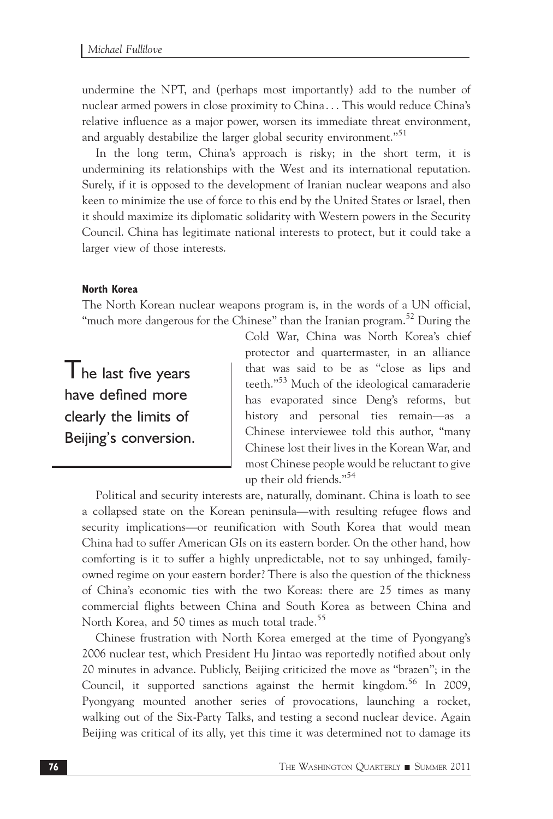undermine the NPT, and (perhaps most importantly) add to the number of nuclear armed powers in close proximity to China... This would reduce China's relative influence as a major power, worsen its immediate threat environment, and arguably destabilize the larger global security environment."<sup>51</sup>

In the long term, China's approach is risky; in the short term, it is undermining its relationships with the West and its international reputation. Surely, if it is opposed to the development of Iranian nuclear weapons and also keen to minimize the use of force to this end by the United States or Israel, then it should maximize its diplomatic solidarity with Western powers in the Security Council. China has legitimate national interests to protect, but it could take a larger view of those interests.

### North Korea

The North Korean nuclear weapons program is, in the words of a UN official, "much more dangerous for the Chinese" than the Iranian program.<sup>52</sup> During the

The last five years have defined more clearly the limits of Beijing's conversion. Cold War, China was North Korea's chief protector and quartermaster, in an alliance that was said to be as ''close as lips and teeth."<sup>53</sup> Much of the ideological camaraderie has evaporated since Deng's reforms, but history and personal ties remain-as a Chinese interviewee told this author, ''many Chinese lost their lives in the Korean War, and most Chinese people would be reluctant to give up their old friends.''54

Political and security interests are, naturally, dominant. China is loath to see a collapsed state on the Korean peninsula—with resulting refugee flows and security implications-or reunification with South Korea that would mean China had to suffer American GIs on its eastern border. On the other hand, how comforting is it to suffer a highly unpredictable, not to say unhinged, familyowned regime on your eastern border? There is also the question of the thickness of China's economic ties with the two Koreas: there are 25 times as many commercial flights between China and South Korea as between China and North Korea, and 50 times as much total trade.<sup>55</sup>

Chinese frustration with North Korea emerged at the time of Pyongyang's 2006 nuclear test, which President Hu Jintao was reportedly notified about only 20 minutes in advance. Publicly, Beijing criticized the move as ''brazen''; in the Council, it supported sanctions against the hermit kingdom.<sup>56</sup> In 2009, Pyongyang mounted another series of provocations, launching a rocket, walking out of the Six-Party Talks, and testing a second nuclear device. Again Beijing was critical of its ally, yet this time it was determined not to damage its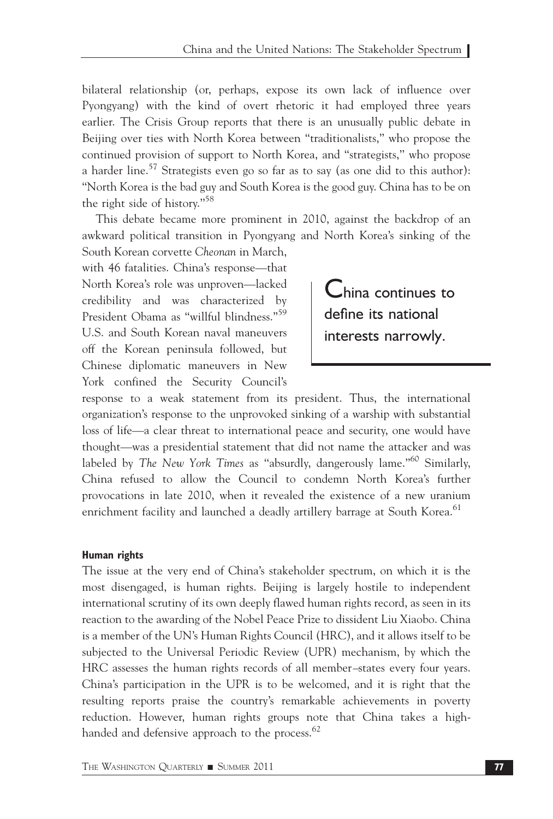bilateral relationship (or, perhaps, expose its own lack of influence over Pyongyang) with the kind of overt rhetoric it had employed three years earlier. The Crisis Group reports that there is an unusually public debate in Beijing over ties with North Korea between "traditionalists," who propose the continued provision of support to North Korea, and ''strategists,'' who propose a harder line.<sup>57</sup> Strategists even go so far as to say (as one did to this author): ''North Korea is the bad guy and South Korea is the good guy. China has to be on the right side of history."<sup>58</sup>

This debate became more prominent in 2010, against the backdrop of an awkward political transition in Pyongyang and North Korea's sinking of the

South Korean corvette Cheonan in March, with 46 fatalities. China's response—that North Korea's role was unproven—lacked credibility and was characterized by President Obama as "willful blindness."<sup>59</sup> U.S. and South Korean naval maneuvers off the Korean peninsula followed, but Chinese diplomatic maneuvers in New York confined the Security Council's

China continues to define its national interests narrowly.

response to a weak statement from its president. Thus, the international organization's response to the unprovoked sinking of a warship with substantial loss of life—a clear threat to international peace and security, one would have thought—was a presidential statement that did not name the attacker and was labeled by The New York Times as "absurdly, dangerously lame."<sup>60</sup> Similarly, China refused to allow the Council to condemn North Korea's further provocations in late 2010, when it revealed the existence of a new uranium enrichment facility and launched a deadly artillery barrage at South Korea.<sup>61</sup>

## Human rights

The issue at the very end of China's stakeholder spectrum, on which it is the most disengaged, is human rights. Beijing is largely hostile to independent international scrutiny of its own deeply flawed human rights record, as seen in its reaction to the awarding of the Nobel Peace Prize to dissident Liu Xiaobo. China is a member of the UN's Human Rights Council (HRC), and it allows itself to be subjected to the Universal Periodic Review (UPR) mechanism, by which the HRC assesses the human rights records of all member—states every four years. China's participation in the UPR is to be welcomed, and it is right that the resulting reports praise the country's remarkable achievements in poverty reduction. However, human rights groups note that China takes a highhanded and defensive approach to the process.<sup>62</sup>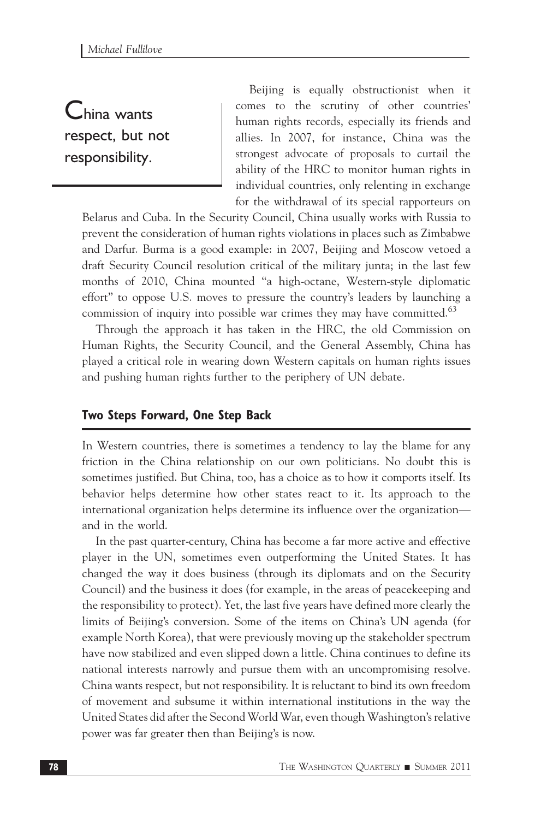China wants respect, but not responsibility.

Beijing is equally obstructionist when it comes to the scrutiny of other countries' human rights records, especially its friends and allies. In 2007, for instance, China was the strongest advocate of proposals to curtail the ability of the HRC to monitor human rights in individual countries, only relenting in exchange for the withdrawal of its special rapporteurs on

Belarus and Cuba. In the Security Council, China usually works with Russia to prevent the consideration of human rights violations in places such as Zimbabwe and Darfur. Burma is a good example: in 2007, Beijing and Moscow vetoed a draft Security Council resolution critical of the military junta; in the last few months of 2010, China mounted ''a high-octane, Western-style diplomatic effort'' to oppose U.S. moves to pressure the country's leaders by launching a commission of inquiry into possible war crimes they may have committed.<sup>63</sup>

Through the approach it has taken in the HRC, the old Commission on Human Rights, the Security Council, and the General Assembly, China has played a critical role in wearing down Western capitals on human rights issues and pushing human rights further to the periphery of UN debate.

# Two Steps Forward, One Step Back

In Western countries, there is sometimes a tendency to lay the blame for any friction in the China relationship on our own politicians. No doubt this is sometimes justified. But China, too, has a choice as to how it comports itself. Its behavior helps determine how other states react to it. Its approach to the international organization helps determine its influence over the organization and in the world.

In the past quarter-century, China has become a far more active and effective player in the UN, sometimes even outperforming the United States. It has changed the way it does business (through its diplomats and on the Security Council) and the business it does (for example, in the areas of peacekeeping and the responsibility to protect). Yet, the last five years have defined more clearly the limits of Beijing's conversion. Some of the items on China's UN agenda (for example North Korea), that were previously moving up the stakeholder spectrum have now stabilized and even slipped down a little. China continues to define its national interests narrowly and pursue them with an uncompromising resolve. China wants respect, but not responsibility. It is reluctant to bind its own freedom of movement and subsume it within international institutions in the way the United States did after the Second World War, even though Washington's relative power was far greater then than Beijing's is now.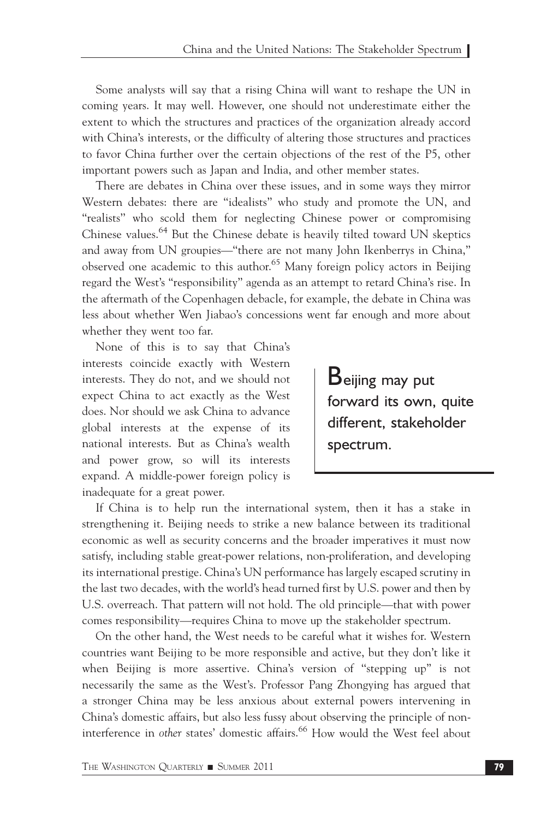Some analysts will say that a rising China will want to reshape the UN in coming years. It may well. However, one should not underestimate either the extent to which the structures and practices of the organization already accord with China's interests, or the difficulty of altering those structures and practices to favor China further over the certain objections of the rest of the P5, other important powers such as Japan and India, and other member states.

There are debates in China over these issues, and in some ways they mirror Western debates: there are ''idealists'' who study and promote the UN, and "realists" who scold them for neglecting Chinese power or compromising Chinese values.<sup>64</sup> But the Chinese debate is heavily tilted toward UN skeptics and away from UN groupies—"there are not many John Ikenberrys in China," observed one academic to this author.<sup>65</sup> Many foreign policy actors in Beijing regard the West's ''responsibility'' agenda as an attempt to retard China's rise. In the aftermath of the Copenhagen debacle, for example, the debate in China was less about whether Wen Jiabao's concessions went far enough and more about whether they went too far.

None of this is to say that China's interests coincide exactly with Western interests. They do not, and we should not expect China to act exactly as the West does. Nor should we ask China to advance global interests at the expense of its national interests. But as China's wealth and power grow, so will its interests expand. A middle-power foreign policy is inadequate for a great power.

Beijing may put forward its own, quite different, stakeholder spectrum.

If China is to help run the international system, then it has a stake in strengthening it. Beijing needs to strike a new balance between its traditional economic as well as security concerns and the broader imperatives it must now satisfy, including stable great-power relations, non-proliferation, and developing its international prestige. China's UN performance has largely escaped scrutiny in the last two decades, with the world's head turned first by U.S. power and then by U.S. overreach. That pattern will not hold. The old principle—that with power comes responsibility—requires China to move up the stakeholder spectrum.

On the other hand, the West needs to be careful what it wishes for. Western countries want Beijing to be more responsible and active, but they don't like it when Beijing is more assertive. China's version of ''stepping up'' is not necessarily the same as the West's. Professor Pang Zhongying has argued that a stronger China may be less anxious about external powers intervening in China's domestic affairs, but also less fussy about observing the principle of noninterference in other states' domestic affairs.<sup>66</sup> How would the West feel about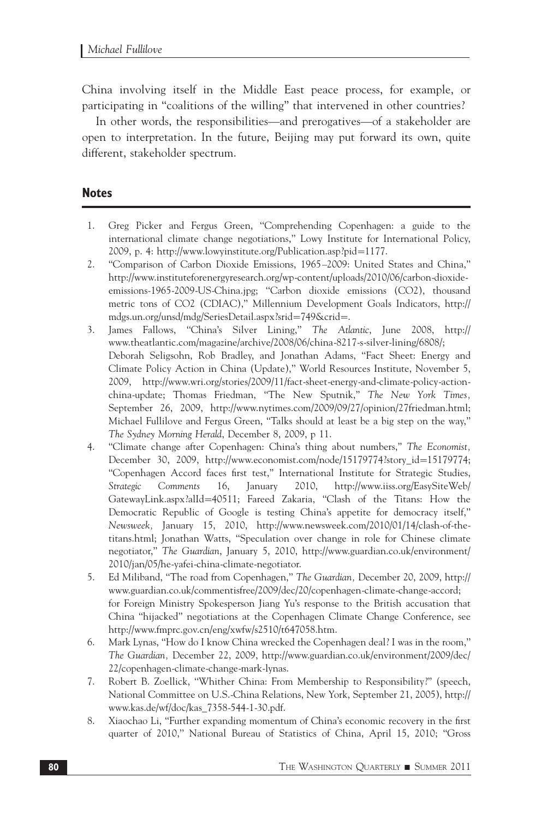China involving itself in the Middle East peace process, for example, or participating in ''coalitions of the willing'' that intervened in other countries?

In other words, the responsibilities—and prerogatives—of a stakeholder are open to interpretation. In the future, Beijing may put forward its own, quite different, stakeholder spectrum.

## **Notes**

- 1. Greg Picker and Fergus Green, ''Comprehending Copenhagen: a guide to the international climate change negotiations,'' Lowy Institute for International Policy, 2009, p. 4: http://www.lowyinstitute.org/Publication.asp?pid-1177.
- 2. ''Comparison of Carbon Dioxide Emissions, 1965—2009: United States and China,'' http://www.instituteforenergyresearch.org/wp-content/uploads/2010/06/carbon-dioxideemissions-1965-2009-US-China.jpg; ''Carbon dioxide emissions (CO2), thousand metric tons of CO2 (CDIAC),'' Millennium Development Goals Indicators, http:// mdgs.un.org/unsd/mdg/SeriesDetail.aspx?srid=749&crid=.
- 3. James Fallows, ''China's Silver Lining,'' The Atlantic, June 2008, http:// www.theatlantic.com/magazine/archive/2008/06/china-8217-s-silver-lining/6808/; Deborah Seligsohn, Rob Bradley, and Jonathan Adams, ''Fact Sheet: Energy and Climate Policy Action in China (Update),'' World Resources Institute, November 5, 2009, http://www.wri.org/stories/2009/11/fact-sheet-energy-and-climate-policy-actionchina-update; Thomas Friedman, ''The New Sputnik,'' The New York Times, September 26, 2009, http://www.nytimes.com/2009/09/27/opinion/27friedman.html; Michael Fullilove and Fergus Green, ''Talks should at least be a big step on the way,'' The Sydney Morning Herald, December 8, 2009, p 11.
- 4. ''Climate change after Copenhagen: China's thing about numbers,'' The Economist, December 30, 2009, http://www.economist.com/node/15179774?story\_id=15179774; ''Copenhagen Accord faces first test,'' International Institute for Strategic Studies, Strategic Comments 16, January 2010, http://www.iiss.org/EasySiteWeb/ GatewayLink.aspx?alId-40511; Fareed Zakaria, ''Clash of the Titans: How the Democratic Republic of Google is testing China's appetite for democracy itself,'' Newsweek, January 15, 2010, http://www.newsweek.com/2010/01/14/clash-of-thetitans.html; Jonathan Watts, ''Speculation over change in role for Chinese climate negotiator,'' The Guardian, January 5, 2010, http://www.guardian.co.uk/environment/ 2010/jan/05/he-yafei-china-climate-negotiator.
- 5. Ed Miliband, ''The road from Copenhagen,'' The Guardian, December 20, 2009, http:// www.guardian.co.uk/commentisfree/2009/dec/20/copenhagen-climate-change-accord; for Foreign Ministry Spokesperson Jiang Yu's response to the British accusation that China ''hijacked'' negotiations at the Copenhagen Climate Change Conference, see http://www.fmprc.gov.cn/eng/xwfw/s2510/t647058.htm.
- 6. Mark Lynas, ''How do I know China wrecked the Copenhagen deal? I was in the room,'' The Guardian, December 22, 2009, http://www.guardian.co.uk/environment/2009/dec/ 22/copenhagen-climate-change-mark-lynas.
- 7. Robert B. Zoellick, ''Whither China: From Membership to Responsibility?'' (speech, National Committee on U.S.-China Relations, New York, September 21, 2005), http:// www.kas.de/wf/doc/kas\_7358-544-1-30.pdf.
- 8. Xiaochao Li, ''Further expanding momentum of China's economic recovery in the first quarter of 2010,'' National Bureau of Statistics of China, April 15, 2010; ''Gross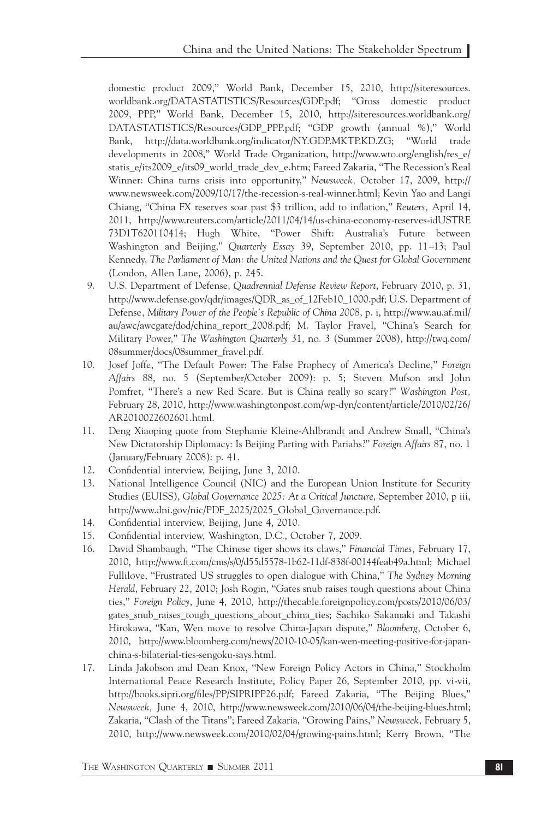domestic product 2009,'' World Bank, December 15, 2010, http://siteresources. worldbank.org/DATASTATISTICS/Resources/GDP.pdf; ''Gross domestic product 2009, PPP,'' World Bank, December 15, 2010, http://siteresources.worldbank.org/ DATASTATISTICS/Resources/GDP\_PPP.pdf; "GDP growth (annual %)," World Bank, http://data.worldbank.org/indicator/NY.GDP.MKTP.KD.ZG; ''World trade developments in 2008,'' World Trade Organization, http://www.wto.org/english/res\_e/ statis\_e/its2009\_e/its09\_world\_trade\_dev\_e.htm; Fareed Zakaria, ''The Recession's Real Winner: China turns crisis into opportunity,'' Newsweek, October 17, 2009, http:// www.newsweek.com/2009/10/17/the-recession-s-real-winner.html; Kevin Yao and Langi Chiang, ''China FX reserves soar past \$3 trillion, add to inflation,'' Reuters, April 14, 2011, http://www.reuters.com/article/2011/04/14/us-china-economy-reserves-idUSTRE 73D1T620110414; Hugh White, ''Power Shift: Australia's Future between Washington and Beijing,'' Quarterly Essay 39, September 2010, pp. 11—13; Paul Kennedy, The Parliament of Man: the United Nations and the Quest for Global Government (London, Allen Lane, 2006), p. 245.

- 9. U.S. Department of Defense, Quadrennial Defense Review Report, February 2010, p. 31, http://www.defense.gov/qdr/images/QDR\_as\_of\_12Feb10\_1000.pdf; U.S. Department of Defense, Military Power of the People's Republic of China 2008, p. i, http://www.au.af.mil/ au/awc/awcgate/dod/china\_report\_2008.pdf; M. Taylor Fravel, ''China's Search for Military Power,'' The Washington Quarterly 31, no. 3 (Summer 2008), http://twq.com/ 08summer/docs/08summer\_fravel.pdf.
- 10. Josef Joffe, ''The Default Power: The False Prophecy of America's Decline,'' Foreign Affairs 88, no. 5 (September/October 2009): p. 5; Steven Mufson and John Pomfret, ''There's a new Red Scare. But is China really so scary?'' Washington Post, February 28, 2010, http://www.washingtonpost.com/wp-dyn/content/article/2010/02/26/ AR2010022602601.html.
- 11. Deng Xiaoping quote from Stephanie Kleine-Ahlbrandt and Andrew Small, ''China's New Dictatorship Diplomacy: Is Beijing Parting with Pariahs?'' Foreign Affairs 87, no. 1 (January/February 2008): p. 41.
- 12. Confidential interview, Beijing, June 3, 2010.
- 13. National Intelligence Council (NIC) and the European Union Institute for Security Studies (EUISS), Global Governance 2025: At a Critical Juncture, September 2010, p iii, http://www.dni.gov/nic/PDF\_2025/2025\_Global\_Governance.pdf.
- 14. Confidential interview, Beijing, June 4, 2010.
- 15. Confidential interview, Washington, D.C., October 7, 2009.
- 16. David Shambaugh, ''The Chinese tiger shows its claws,'' Financial Times, February 17, 2010, http://www.ft.com/cms/s/0/d55d5578-1b62-11df-838f-00144feab49a.html; Michael Fullilove, "Frustrated US struggles to open dialogue with China," The Sydney Morning Herald, February 22, 2010; Josh Rogin, ''Gates snub raises tough questions about China ties,'' Foreign Policy, June 4, 2010, http://thecable.foreignpolicy.com/posts/2010/06/03/ gates\_snub\_raises\_tough\_questions\_about\_china\_ties; Sachiko Sakamaki and Takashi Hirokawa, ''Kan, Wen move to resolve China-Japan dispute,'' Bloomberg, October 6, 2010, http://www.bloomberg.com/news/2010-10-05/kan-wen-meeting-positive-for-japanchina-s-bilaterial-ties-sengoku-says.html.
- 17. Linda Jakobson and Dean Knox, ''New Foreign Policy Actors in China,'' Stockholm International Peace Research Institute, Policy Paper 26, September 2010, pp. vi-vii, http://books.sipri.org/files/PP/SIPRIPP26.pdf; Fareed Zakaria, ''The Beijing Blues,'' Newsweek, June 4, 2010, http://www.newsweek.com/2010/06/04/the-beijing-blues.html; Zakaria, "Clash of the Titans"; Fareed Zakaria, "Growing Pains," Newsweek, February 5, 2010, http://www.newsweek.com/2010/02/04/growing-pains.html; Kerry Brown, ''The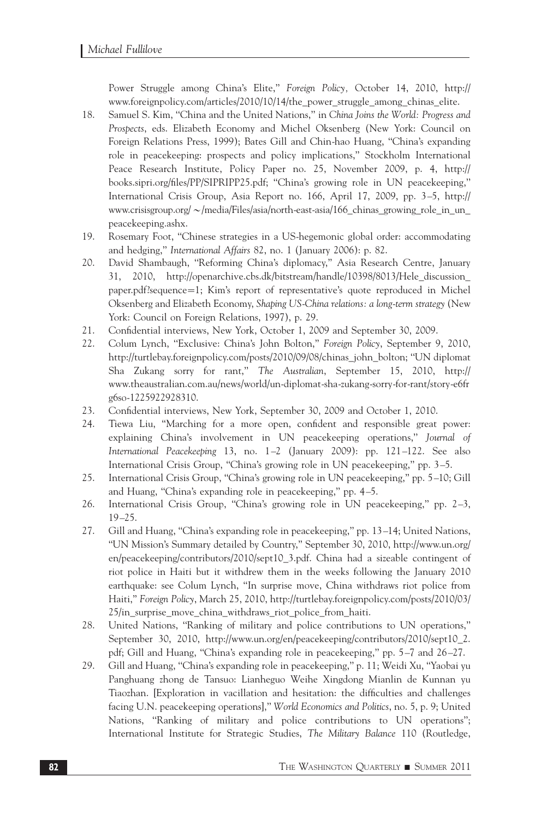Power Struggle among China's Elite,'' Foreign Policy, October 14, 2010, http:// www.foreignpolicy.com/articles/2010/10/14/the\_power\_struggle\_among\_chinas\_elite.

- 18. Samuel S. Kim, ''China and the United Nations,'' in China Joins the World: Progress and Prospects, eds. Elizabeth Economy and Michel Oksenberg (New York: Council on Foreign Relations Press, 1999); Bates Gill and Chin-hao Huang, ''China's expanding role in peacekeeping: prospects and policy implications,'' Stockholm International Peace Research Institute, Policy Paper no. 25, November 2009, p. 4, http:// books.sipri.org/files/PP/SIPRIPP25.pdf; ''China's growing role in UN peacekeeping,'' International Crisis Group, Asia Report no. 166, April 17, 2009, pp. 3—5, http:// www.crisisgroup.org/ $\sim$ /media/Files/asia/north-east-asia/166 chinas growing role in un peacekeeping.ashx.
- 19. Rosemary Foot, ''Chinese strategies in a US-hegemonic global order: accommodating and hedging,'' International Affairs 82, no. 1 (January 2006): p. 82.
- 20. David Shambaugh, ''Reforming China's diplomacy,'' Asia Research Centre, January 31, 2010, http://openarchive.cbs.dk/bitstream/handle/10398/8013/Hele\_discussion\_ paper.pdf?sequence-1; Kim's report of representative's quote reproduced in Michel Oksenberg and Elizabeth Economy, Shaping US-China relations: a long-term strategy (New York: Council on Foreign Relations, 1997), p. 29.
- 21. Confidential interviews, New York, October 1, 2009 and September 30, 2009.
- 22. Colum Lynch, ''Exclusive: China's John Bolton,'' Foreign Policy, September 9, 2010, http://turtlebay.foreignpolicy.com/posts/2010/09/08/chinas\_john\_bolton; ''UN diplomat Sha Zukang sorry for rant,'' The Australian, September 15, 2010, http:// www.theaustralian.com.au/news/world/un-diplomat-sha-zukang-sorry-for-rant/story-e6fr g6so-1225922928310.
- 23. Confidential interviews, New York, September 30, 2009 and October 1, 2010.
- 24. Tiewa Liu, ''Marching for a more open, confident and responsible great power: explaining China's involvement in UN peacekeeping operations,'' Journal of International Peacekeeping 13, no. 1—2 (January 2009): pp. 121—122. See also International Crisis Group, ''China's growing role in UN peacekeeping,'' pp. 3—5.
- 25. International Crisis Group, ''China's growing role in UN peacekeeping,'' pp. 5—10; Gill and Huang, ''China's expanding role in peacekeeping,'' pp. 4—5.
- 26. International Crisis Group, ''China's growing role in UN peacekeeping,'' pp. 2—3, 19—25.
- 27. Gill and Huang, ''China's expanding role in peacekeeping,'' pp. 13—14; United Nations, ''UN Mission's Summary detailed by Country,'' September 30, 2010, http://www.un.org/ en/peacekeeping/contributors/2010/sept10\_3.pdf. China had a sizeable contingent of riot police in Haiti but it withdrew them in the weeks following the January 2010 earthquake: see Colum Lynch, ''In surprise move, China withdraws riot police from Haiti,'' Foreign Policy, March 25, 2010, http://turtlebay.foreignpolicy.com/posts/2010/03/ 25/in surprise move china withdraws riot police from haiti.
- 28. United Nations, ''Ranking of military and police contributions to UN operations,'' September 30, 2010, http://www.un.org/en/peacekeeping/contributors/2010/sept10\_2. pdf; Gill and Huang, "China's expanding role in peacekeeping," pp. 5-7 and 26-27.
- 29. Gill and Huang, ''China's expanding role in peacekeeping,'' p. 11; Weidi Xu, ''Yaobai yu Panghuang zhong de Tansuo: Lianheguo Weihe Xingdong Mianlin de Kunnan yu Tiaozhan. [Exploration in vacillation and hesitation: the difficulties and challenges facing U.N. peacekeeping operations],'' World Economics and Politics, no. 5, p. 9; United Nations, ''Ranking of military and police contributions to UN operations''; International Institute for Strategic Studies, The Military Balance 110 (Routledge,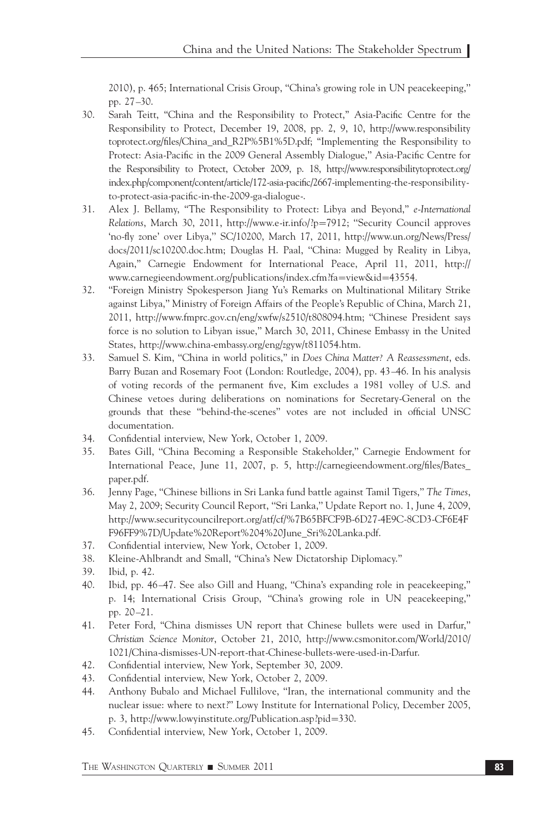2010), p. 465; International Crisis Group, ''China's growing role in UN peacekeeping,'' pp. 27—30.

- 30. Sarah Teitt, ''China and the Responsibility to Protect,'' Asia-Pacific Centre for the Responsibility to Protect, December 19, 2008, pp. 2, 9, 10, http://www.responsibility toprotect.org/files/China\_and\_R2P%5B1%5D.pdf; ''Implementing the Responsibility to Protect: Asia-Pacific in the 2009 General Assembly Dialogue,'' Asia-Pacific Centre for the Responsibility to Protect, October 2009, p. 18, http://www.responsibilitytoprotect.org/ index.php/component/content/article/172-asia-pacific/2667-implementing-the-responsibilityto-protect-asia-pacific-in-the-2009-ga-dialogue-.
- 31. Alex J. Bellamy, ''The Responsibility to Protect: Libya and Beyond,'' e-International Relations, March 30, 2011, http://www.e-ir.info/?p-7912; ''Security Council approves 'no-fly zone' over Libya,'' SC/10200, March 17, 2011, http://www.un.org/News/Press/ docs/2011/sc10200.doc.htm; Douglas H. Paal, ''China: Mugged by Reality in Libya, Again,'' Carnegie Endowment for International Peace, April 11, 2011, http:// www.carnegieendowment.org/publications/index.cfm?fa=view&id=43554.
- 32. ''Foreign Ministry Spokesperson Jiang Yu's Remarks on Multinational Military Strike against Libya,'' Ministry of Foreign Affairs of the People's Republic of China, March 21, 2011, http://www.fmprc.gov.cn/eng/xwfw/s2510/t808094.htm; ''Chinese President says force is no solution to Libyan issue,'' March 30, 2011, Chinese Embassy in the United States, http://www.china-embassy.org/eng/zgyw/t811054.htm.
- 33. Samuel S. Kim, ''China in world politics,'' in Does China Matter? A Reassessment, eds. Barry Buzan and Rosemary Foot (London: Routledge, 2004), pp. 43—46. In his analysis of voting records of the permanent five, Kim excludes a 1981 volley of U.S. and Chinese vetoes during deliberations on nominations for Secretary-General on the grounds that these ''behind-the-scenes'' votes are not included in official UNSC documentation.
- 34. Confidential interview, New York, October 1, 2009.
- 35. Bates Gill, ''China Becoming a Responsible Stakeholder,'' Carnegie Endowment for International Peace, June 11, 2007, p. 5, http://carnegieendowment.org/files/Bates\_ paper.pdf.
- 36. Jenny Page, ''Chinese billions in Sri Lanka fund battle against Tamil Tigers,'' The Times, May 2, 2009; Security Council Report, ''Sri Lanka,'' Update Report no. 1, June 4, 2009, http://www.securitycouncilreport.org/atf/cf/%7B65BFCF9B-6D27-4E9C-8CD3-CF6E4F F96FF9%7D/Update%20Report%204%20June\_Sri%20Lanka.pdf.
- 37. Confidential interview, New York, October 1, 2009.
- 38. Kleine-Ahlbrandt and Small, ''China's New Dictatorship Diplomacy.''
- 39. Ibid, p. 42.
- 40. Ibid, pp. 46—47. See also Gill and Huang, ''China's expanding role in peacekeeping,'' p. 14; International Crisis Group, ''China's growing role in UN peacekeeping,'' pp. 20—21.
- 41. Peter Ford, ''China dismisses UN report that Chinese bullets were used in Darfur,'' Christian Science Monitor, October 21, 2010, http://www.csmonitor.com/World/2010/ 1021/China-dismisses-UN-report-that-Chinese-bullets-were-used-in-Darfur.
- 42. Confidential interview, New York, September 30, 2009.
- 43. Confidential interview, New York, October 2, 2009.
- 44. Anthony Bubalo and Michael Fullilove, ''Iran, the international community and the nuclear issue: where to next?'' Lowy Institute for International Policy, December 2005, p. 3, http://www.lowyinstitute.org/Publication.asp?pid-330.
- 45. Confidential interview, New York, October 1, 2009.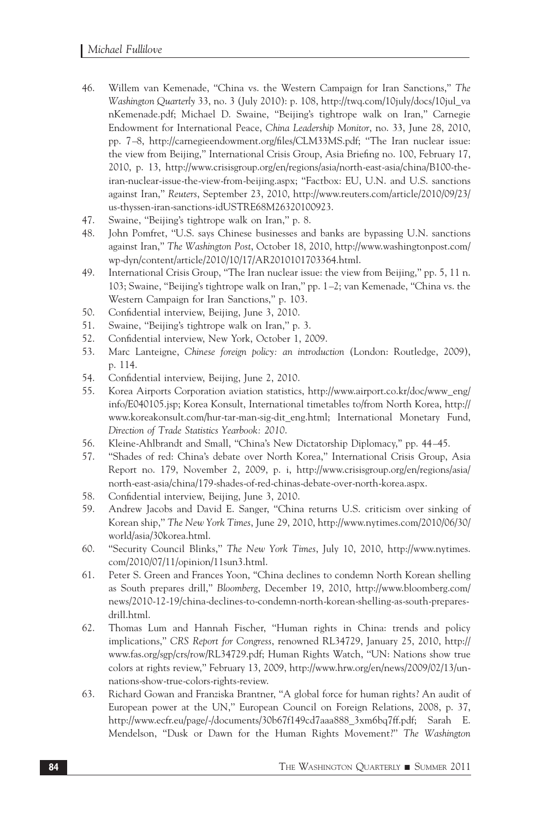- 46. Willem van Kemenade, ''China vs. the Western Campaign for Iran Sanctions,'' The Washington Quarterly 33, no. 3 (July 2010): p. 108, http://twq.com/10july/docs/10jul\_va nKemenade.pdf; Michael D. Swaine, ''Beijing's tightrope walk on Iran,'' Carnegie Endowment for International Peace, China Leadership Monitor, no. 33, June 28, 2010, pp. 7—8, http://carnegieendowment.org/files/CLM33MS.pdf; ''The Iran nuclear issue: the view from Beijing,'' International Crisis Group, Asia Briefing no. 100, February 17, 2010, p. 13, http://www.crisisgroup.org/en/regions/asia/north-east-asia/china/B100-theiran-nuclear-issue-the-view-from-beijing.aspx; ''Factbox: EU, U.N. and U.S. sanctions against Iran,'' Reuters, September 23, 2010, http://www.reuters.com/article/2010/09/23/ us-thyssen-iran-sanctions-idUSTRE68M26320100923.
- 47. Swaine, ''Beijing's tightrope walk on Iran,'' p. 8.
- 48. John Pomfret, ''U.S. says Chinese businesses and banks are bypassing U.N. sanctions against Iran,'' The Washington Post, October 18, 2010, http://www.washingtonpost.com/ wp-dyn/content/article/2010/10/17/AR2010101703364.html.
- 49. International Crisis Group, ''The Iran nuclear issue: the view from Beijing,'' pp. 5, 11 n. 103; Swaine, ''Beijing's tightrope walk on Iran,'' pp. 1—2; van Kemenade, ''China vs. the Western Campaign for Iran Sanctions,'' p. 103.
- 50. Confidential interview, Beijing, June 3, 2010.
- 51. Swaine, ''Beijing's tightrope walk on Iran,'' p. 3.
- 52. Confidential interview, New York, October 1, 2009.
- 53. Marc Lanteigne, Chinese foreign policy: an introduction (London: Routledge, 2009), p. 114.
- 54. Confidential interview, Beijing, June 2, 2010.
- 55. Korea Airports Corporation aviation statistics, http://www.airport.co.kr/doc/www\_eng/ info/E040105.jsp; Korea Konsult, International timetables to/from North Korea, http:// www.koreakonsult.com/hur-tar-man-sig-dit\_eng.html; International Monetary Fund, Direction of Trade Statistics Yearbook: 2010.
- 56. Kleine-Ahlbrandt and Small, ''China's New Dictatorship Diplomacy,'' pp. 44—45.
- 57. ''Shades of red: China's debate over North Korea,'' International Crisis Group, Asia Report no. 179, November 2, 2009, p. i, http://www.crisisgroup.org/en/regions/asia/ north-east-asia/china/179-shades-of-red-chinas-debate-over-north-korea.aspx.
- 58. Confidential interview, Beijing, June 3, 2010.
- 59. Andrew Jacobs and David E. Sanger, ''China returns U.S. criticism over sinking of Korean ship,'' The New York Times, June 29, 2010, http://www.nytimes.com/2010/06/30/ world/asia/30korea.html.
- 60. ''Security Council Blinks,'' The New York Times, July 10, 2010, http://www.nytimes. com/2010/07/11/opinion/11sun3.html.
- 61. Peter S. Green and Frances Yoon, ''China declines to condemn North Korean shelling as South prepares drill,'' Bloomberg, December 19, 2010, http://www.bloomberg.com/ news/2010-12-19/china-declines-to-condemn-north-korean-shelling-as-south-preparesdrill.html.
- 62. Thomas Lum and Hannah Fischer, ''Human rights in China: trends and policy implications,'' CRS Report for Congress, renowned RL34729, January 25, 2010, http:// www.fas.org/sgp/crs/row/RL34729.pdf; Human Rights Watch, ''UN: Nations show true colors at rights review,'' February 13, 2009, http://www.hrw.org/en/news/2009/02/13/unnations-show-true-colors-rights-review.
- 63. Richard Gowan and Franziska Brantner, ''A global force for human rights? An audit of European power at the UN,'' European Council on Foreign Relations, 2008, p. 37, http://www.ecfr.eu/page/-/documents/30b67f149cd7aaa888\_3xm6bq7ff.pdf; Sarah E. Mendelson, ''Dusk or Dawn for the Human Rights Movement?'' The Washington